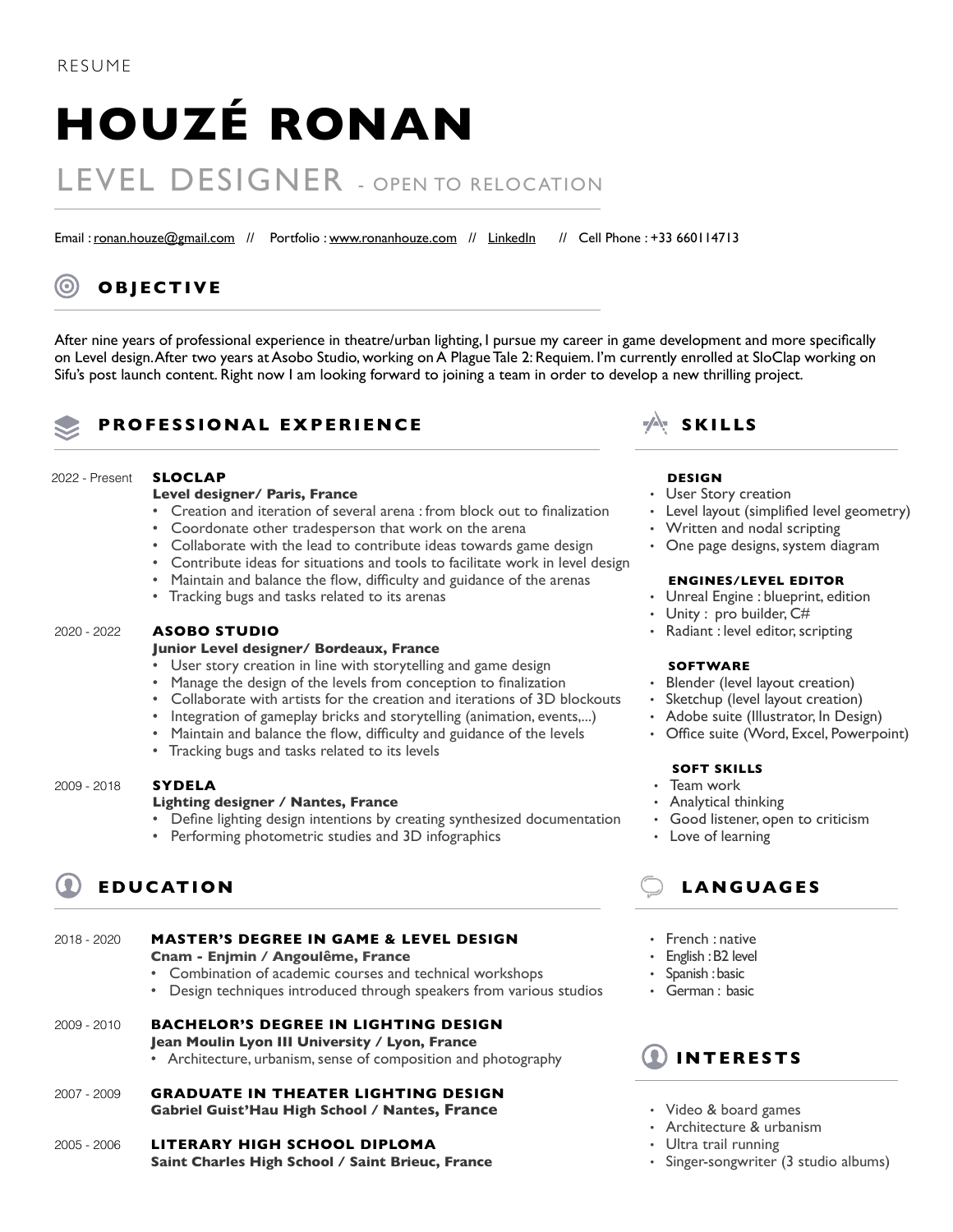# **HOUZÉ RONAN**

## LEVEL DESIGNER - OPEN TO RELOCATION

Email : [ronan.houze@gmail.com](mailto:ronan.houze%40gmail.com?subject=) // Portfolio : [www.ronanhouze.com](http://www.ronanhouze.com) // [LinkedIn](https://www.linkedin.com/in/ronan-houze/) // Cell Phone : +33 660114713

## **OBJECTIVE**

After nine years of professional experience in theatre/urban lighting, I pursue my career in game development and more specifically on Level design. After two years at Asobo Studio, working on A Plague Tale 2: Requiem. I'm currently enrolled at SloClap working on Sifu's post launch content. Right now I am looking forward to joining a team in order to develop a new thrilling project.

## **PROFESSIONAL EXPERIENCE SKILLS**

#### 2022 - Present

- **Level designer/ Paris, France**
- Creation and iteration of several arena : from block out to finalization
- Coordonate other tradesperson that work on the arena
- Collaborate with the lead to contribute ideas towards game design
- Contribute ideas for situations and tools to facilitate work in level design
- Maintain and balance the flow, difficulty and guidance of the arenas
- Tracking bugs and tasks related to its arenas

#### **ASOBO STUDIO** 2020 - 2022

**SLOCLAP**

#### **Junior Level designer/ Bordeaux, France**

- User story creation in line with storytelling and game design
- Manage the design of the levels from conception to finalization
- Collaborate with artists for the creation and iterations of 3D blockouts
- Integration of gameplay bricks and storytelling (animation, events,...)
- Maintain and balance the flow, difficulty and guidance of the levels
- Tracking bugs and tasks related to its levels

#### **SYDELA** 2009 - 2018

#### **Lighting designer / Nantes, France**

- Define lighting design intentions by creating synthesized documentation
- Performing photometric studies and 3D infographics

## **EDUCATION**

#### **MASTER'S DEGREE IN GAME & LEVEL DESIGN Cnam - Enjmin / Angoulême, France** • Combination of academic courses and technical workshops 2018 - 2020

• Design techniques introduced through speakers from various studios

#### **BACHELOR'S DEGREE IN LIGHTING DESIGN** 2009 - 2010

- **Jean Moulin Lyon III University / Lyon, France**
- Architecture, urbanism, sense of composition and photography
- **GRADUATE IN THEATER LIGHTING DESIGN Gabriel Guist'Hau High School / Nantes, France** 2007 - 2009
- **LITERARY HIGH SCHOOL DIPLOMA Saint Charles High School / Saint Brieuc, France** 2005 - 2006



## **DESIGN**

- **‧** User Story creation
- **‧** Level layout (simplified level geometry)
- **‧** Written and nodal scripting
- **‧** One page designs, system diagram

### **ENGINES/LEVEL EDITOR**

- **‧** Unreal Engine : blueprint, edition
- **‧** Unity : pro builder, C#
- **‧** Radiant : level editor, scripting

### **SOFTWARE**

- **Blender (level layout creation)**
- **‧** Sketchup (level layout creation)
- **‧** Adobe suite (Illustrator, In Design)
- **‧** Office suite (Word, Excel, Powerpoint)

#### **SOFT SKILLS**

- **‧** Team work
- **‧** Analytical thinking
- **‧** Good listener, open to criticism
- **‧** Love of learning

## **LANGUAGES**

- **‧** French : native
- **‧** English : B2 level
- **‧** Spanish : basic
- **‧** German : basic



- **‧** Video & board games
- **‧** Architecture & urbanism
- **‧** Ultra trail running
- **‧** Singer-songwriter (3 studio albums)